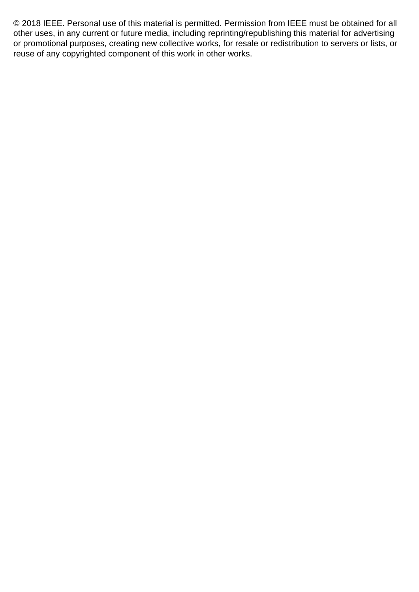© 2018 IEEE. Personal use of this material is permitted. Permission from IEEE must be obtained for all other uses, in any current or future media, including reprinting/republishing this material for advertising or promotional purposes, creating new collective works, for resale or redistribution to servers or lists, or reuse of any copyrighted component of this work in other works.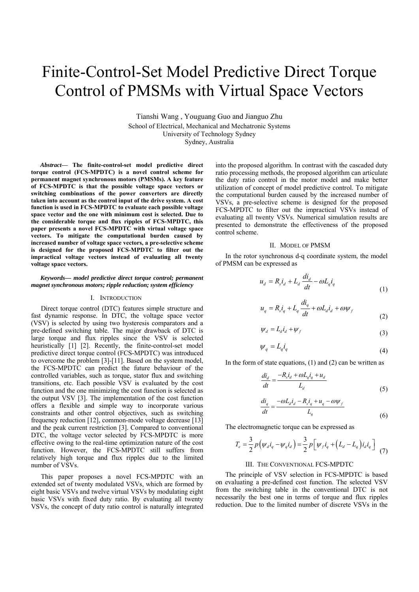# Finite-Control-Set Model Predictive Direct Torque Control of PMSMs with Virtual Space Vectors

Tianshi Wang , Youguang Guo and Jianguo Zhu School of Electrical, Mechanical and Mechatronic Systems University of Technology Sydney Sydney, Australia

*Abstract***— The finite-control-set model predictive direct torque control (FCS-MPDTC) is a novel control scheme for permanent magnet synchronous motors (PMSMs). A key feature of FCS-MPDTC is that the possible voltage space vectors or switching combinations of the power converters are directly taken into account as the control input of the drive system. A cost function is used in FCS-MPDTC to evaluate each possible voltage space vector and the one with minimum cost is selected. Due to the considerable torque and flux ripples of FCS-MPDTC, this paper presents a novel FCS-MPDTC with virtual voltage space vectors. To mitigate the computational burden caused by increased number of voltage space vectors, a pre-selective scheme is designed for the proposed FCS-MPDTC to filter out the impractical voltage vectors instead of evaluating all twenty voltage space vectors.** 

# *Keywords— model predictive direct torque control; permanent magnet synchronous motors; ripple reduction; system efficiency*

# I. INTRODUCTION

Direct torque control (DTC) features simple structure and fast dynamic response. In DTC, the voltage space vector (VSV) is selected by using two hysteresis comparators and a pre-defined switching table. The major drawback of DTC is large torque and flux ripples since the VSV is selected heuristically [1] [2]. Recently, the finite-control-set model predictive direct torque control (FCS-MPDTC) was introduced to overcome the problem [3]-[11]. Based on the system model, the FCS-MPDTC can predict the future behaviour of the controlled variables, such as torque, stator flux and switching transitions, etc. Each possible VSV is evaluated by the cost function and the one minimizing the cost function is selected as the output VSV [3]. The implementation of the cost function offers a flexible and simple way to incorporate various constraints and other control objectives, such as switching frequency reduction [12], common-mode voltage decrease [13] and the peak current restriction [3]. Compared to conventional DTC, the voltage vector selected by FCS-MPDTC is more effective owing to the real-time optimization nature of the cost function. However, the FCS-MPDTC still suffers from relatively high torque and flux ripples due to the limited number of VSVs.

This paper proposes a novel FCS-MPDTC with an extended set of twenty modulated VSVs, which are formed by eight basic VSVs and twelve virtual VSVs by modulating eight basic VSVs with fixed duty ratio. By evaluating all twenty VSVs, the concept of duty ratio control is naturally integrated

into the proposed algorithm. In contrast with the cascaded duty ratio processing methods, the proposed algorithm can articulate the duty ratio control in the motor model and make better utilization of concept of model predictive control. To mitigate the computational burden caused by the increased number of VSVs, a pre-selective scheme is designed for the proposed FCS-MPDTC to filter out the impractical VSVs instead of evaluating all twenty VSVs. Numerical simulation results are presented to demonstrate the effectiveness of the proposed control scheme.

#### II. MODEL OF PMSM

In the rotor synchronous d-q coordinate system, the model of PMSM can be expressed as

$$
u_d = R_s i_d + L_d \frac{di_d}{dt} - \omega L_q i_q
$$
\n(1)

$$
u_q = R_s i_q + L_q \frac{di_q}{dt} + \omega L_d i_d + \omega \psi_f
$$
\n(2)

$$
\psi_d = L_d i_d + \psi_f \tag{3}
$$

$$
\psi_q = L_q \dot{I}_q \tag{4}
$$

In the form of state equations,  $(1)$  and  $(2)$  can be written as

$$
\frac{di_d}{dt} = \frac{-R_s i_d + \omega L_q i_q + u_d}{L_d} \tag{5}
$$

$$
\frac{di_q}{dt} = \frac{-\omega L_d i_d - R_s i_q + u_q - \omega \psi_f}{L_q} \tag{6}
$$

The electromagnetic torque can be expressed as

$$
T_e = \frac{3}{2} p ( \psi_d i_q - \psi_q i_d ) = \frac{3}{2} p [ \psi_f i_q + (L_d - L_q) i_d i_q ]
$$
 (7)

# III. THE CONVENTIONAL FCS-MPDTC

The principle of VSV selection in FCS-MPDTC is based on evaluating a pre-defined cost function. The selected VSV from the switching table in the conventional DTC is not necessarily the best one in terms of torque and flux ripples reduction. Due to the limited number of discrete VSVs in the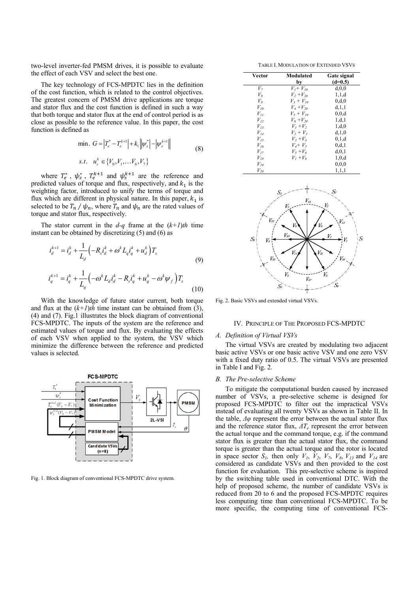two-level inverter-fed PMSM drives, it is possible to evaluate the effect of each VSV and select the best one.

The key technology of FCS-MPDTC lies in the definition of the cost function, which is related to the control objectives. The greatest concern of PMSM drive applications are torque and stator flux and the cost function is defined in such a way that both torque and stator flux at the end of control period is as close as possible to the reference value. In this paper, the cost function is defined as

min. 
$$
G = |T_e^* - T_e^{k+1}| + k_1 ||\psi_s^*| - |\psi_s^{k+1}||
$$
  
s.t.  $u_s^k \in \{V_0, V_1, \dots V_6, V_7\}$  (8)

where  $T_e^*$ ,  $\psi_s^*$ ,  $T_e^{k+1}$  and  $\psi_s^{k+1}$  are the reference and predicted values of torque and flux, respectively, and  $k_1$  is the weighting factor, introduced to unify the terms of torque and flux which are different in physical nature. In this paper,  $k_1$  is selected to be  $T_n / \psi_n$ , where  $T_n$  and  $\psi_n$  are the rated values of torque and stator flux, respectively.

The stator current in the  $d-q$  frame at the  $(k+1)$ th time instant can be obtained by discretizing (5) and (6) as

$$
i_d^{k+1} = i_d^k + \frac{1}{L_d} \left( -R_s i_d^k + \omega^k L_q i_q^k + u_d^k \right) T_s \tag{9}
$$

$$
i_q^{k+1} = i_q^k + \frac{1}{L_q} \left( -\omega^k L_d i_d^k - R_s i_q^k + u_q^k - \omega^k \psi_f \right) T_s \tag{10}
$$

With the knowledge of future stator current, both torque and flux at the  $(k+1)$ th time instant can be obtained from (3), (4) and (7). Fig.1 illustrates the block diagram of conventional FCS-MPDTC. The inputs of the system are the reference and estimated values of torque and flux. By evaluating the effects of each VSV when applied to the system, the VSV which minimize the difference between the reference and predicted values is selected.



Fig. 1. Block diagram of conventional FCS-MPDTC drive system.

TABLE I. MODULATION OF EXTENDED VSVS

| Vector      | Modulated<br>by | Gate signal<br>$(d=0.5)$ |
|-------------|-----------------|--------------------------|
| V,          | $V_1 + V_{19}$  | $d_{0,0}$                |
| $V_{\rm s}$ | $V_2 + V_{20}$  | 1,1,d                    |
| $V_{\rm 9}$ | $V_3 + V_{19}$  | 0,d,0                    |
| $V_{I0}$    | $V_4 + V_{20}$  | d, 1, 1                  |
| $V_{II}$    | $V_5 + V_{19}$  | 0.0,d                    |
| $V_{I2}$    | $V_6 + V_{20}$  | 1,d,1                    |
| $V_{13}$    | $V_1+V_2$       | 1,d,0                    |
| $V_{14}$    | $V_2 + V_3$     | d, 1, 0                  |
| $V_{I5}$    | $V_3+V_4$       | 0.1,d                    |
| $V_{16}$    | $V_4+V_5$       | 0.d.1                    |
| $V_{I2}$    | $V_5 + V_6$     | $d_{0,1}$                |
| $V_{18}$    | $V_1 + V_6$     | 1,0,d                    |
| $V_{I9}$    |                 | 0.0,0                    |
| $V_{20}$    |                 | 1,1,1                    |



Fig. 2. Basic VSVs and extended virtual VSVs.

# IV. PRINCIPLE OF THE PROPOSED FCS-MPDTC

#### *A. Definition of Virtual VSVs*

The virtual VSVs are created by modulating two adjacent basic active VSVs or one basic active VSV and one zero VSV with a fixed duty ratio of 0.5. The virtual VSVs are presented in Table I and Fig. 2.

### *B. The Pre-selective Scheme*

To mitigate the computational burden caused by increased number of VSVs, a pre-selective scheme is designed for proposed FCS-MPDTC to filter out the impractical VSVs instead of evaluating all twenty VSVs as shown in Table II. In the table, *Δφ* represent the error between the actual stator flux and the reference stator flux,  $\Delta T_e$  represent the error between the actual torque and the command torque, e.g. if the command stator flux is greater than the actual stator flux, the command torque is greater than the actual torque and the rotor is located in space sector  $S_l$ , then only  $V_l$ ,  $V_2$ ,  $V_7$ ,  $V_8$ ,  $V_{l3}$  and  $V_{l4}$  are considered as candidate VSVs and then provided to the cost function for evaluation. This pre-selective scheme is inspired by the switching table used in conventional DTC. With the help of proposed scheme, the number of candidate VSVs is reduced from 20 to 6 and the proposed FCS-MPDTC requires less computing time than conventional FCS-MPDTC. To be more specific, the computing time of conventional FCS-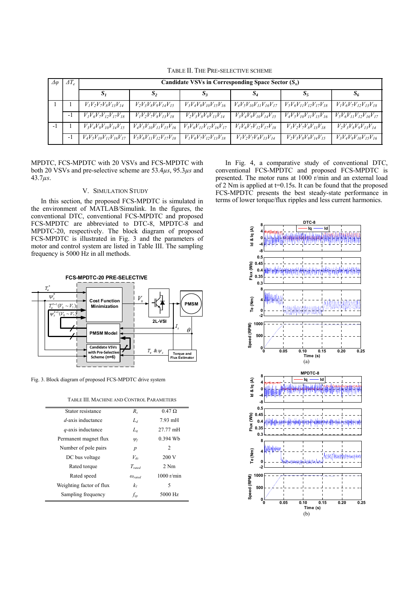| $\Delta\varphi$ | $\varDelta T_e$ | Candidate VSVs in Corresponding Space Sector $(S_x)$ |                                                                                                     |                                  |                                                                   |                                  |                                  |
|-----------------|-----------------|------------------------------------------------------|-----------------------------------------------------------------------------------------------------|----------------------------------|-------------------------------------------------------------------|----------------------------------|----------------------------------|
|                 |                 | $S_I$                                                | $S_2$                                                                                               |                                  | $S_4$                                                             | $S_5$                            | $S_6$                            |
|                 |                 | $V_1V_2V_7V_8V_{13}V_{14}$                           | $V_2V_3V_8V_9V_{14}V_{15}$                                                                          | $V_3V_4V_9V_{10}V_{15}V_{16}$    | $V_4V_5V_{10}V_{11}V_{16}V_{17}$ $V_5V_6V_{11}V_{12}V_{17}V_{18}$ |                                  | $V_1V_6V_7V_{12}V_{13}V_{18}$    |
|                 | $-1$            | $\overline{V_1V_6V_7V_{12}V_{17}V_{18}}$             | $V_1V_2V_7V_8V_{13}V_{18}$                                                                          | $V_2V_3V_8V_9V_{13}V_{14}$       | $V_3V_4V_9V_{10}V_{14}V_{15}$                                     | $V_4V_5V_{10}V_{11}V_{15}V_{16}$ | $V_5V_6V_{11}V_{12}V_{16}V_{17}$ |
|                 |                 | $V_3V_4V_9V_{10}V_{14}V_{15}$                        | $V_4V_5V_{10}V_{11}V_{15}V_{16}$                                                                    | $V_5V_6V_{11}V_{12}V_{16}V_{17}$ | $V_1V_6V_7V_{12}V_{17}V_{18}$                                     | $V_1V_2V_7V_8V_{13}V_{18}$       | $V_2V_3V_8V_9V_{13}V_{14}$       |
|                 | $-1$            |                                                      | $V_4V_5V_{10}V_{11}V_{16}V_{17}$   $V_5V_6V_{11}V_{12}V_{17}V_{18}$   $V_1V_6V_7V_{12}V_{13}V_{18}$ |                                  | $V_1V_2V_7V_8V_{13}V_{14}$                                        | $V_2V_3V_8V_9V_{14}V_{15}$       | $V_3V_4V_9V_{10}V_{15}V_{16}$    |

TABLE II. THE PRE-SELECTIVE SCHEME

MPDTC, FCS-MPDTC with 20 VSVs and FCS-MPDTC with both 20 VSVs and pre-selective scheme are 53.4*µs*, 95.3*µs* and 43.7*µs*.

# V. SIMULATION STUDY

In this section, the proposed FCS-MPDTC is simulated in the environment of MATLAB/Simulink. In the figures, the conventional DTC, conventional FCS-MPDTC and proposed FCS-MPDTC are abbreviated to DTC-8, MPDTC-8 and MPDTC-20, respectively. The block diagram of proposed FCS-MPDTC is illustrated in Fig. 3 and the parameters of motor and control system are listed in Table III. The sampling frequency is 5000 Hz in all methods.



Fig. 3. Block diagram of proposed FCS-MPDTC drive system

TABLE III. MACHINE AND CONTROL PARAMETERS

| Stator resistance        | $R_{s}$                 | $0.47\Omega$      |
|--------------------------|-------------------------|-------------------|
| $d$ -axis inductance     | $L_d$                   | $7.93 \text{ mH}$ |
| q-axis inductance        | $L_a$                   | 27.77 mH          |
| Permanent magnet flux    | $\psi_f$                | $0.394$ Wh        |
| Number of pole pairs     | $\boldsymbol{p}$        | 2                 |
| DC bus voltage           | $V_{dc}$                | 200 V             |
| Rated torque             | $T_{rad}$               | 2 Nm              |
| Rated speed              | $\omega_{\text{rated}}$ | $1000$ r/min      |
| Weighting factor of flux | kı                      | 5                 |
| Sampling frequency       | $f_{sp}$                | 5000 Hz           |

In Fig. 4, a comparative study of conventional DTC, conventional FCS-MPDTC and proposed FCS-MPDTC is presented. The motor runs at 1000 r/min and an external load of 2 Nm is applied at t=0.15s. It can be found that the proposed FCS-MPDTC presents the best steady-state performance in terms of lower torque/flux ripples and less current harmonics.